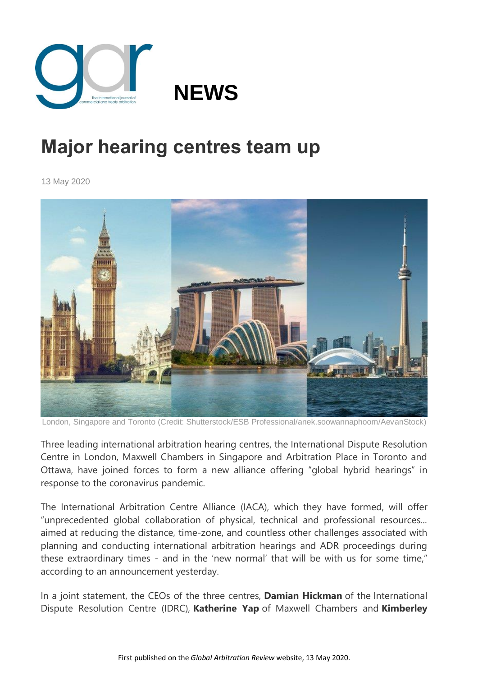

## **Major hearing centres team up**

13 May 2020



London, Singapore and Toronto (Credit: Shutterstock/ESB Professional/anek.soowannaphoom/AevanStock)

Three leading international arbitration hearing centres, the International Dispute Resolution Centre in London, Maxwell Chambers in Singapore and Arbitration Place in Toronto and Ottawa, have joined forces to form a new alliance offering "global hybrid hearings" in response to the coronavirus pandemic.

The International Arbitration Centre Alliance (IACA), which they have formed, will offer "unprecedented global collaboration of physical, technical and professional resources... aimed at reducing the distance, time-zone, and countless other challenges associated with planning and conducting international arbitration hearings and ADR proceedings during these extraordinary times - and in the 'new normal' that will be with us for some time," according to an announcement yesterday.

In a joint statement, the CEOs of the three centres, **Damian Hickman** of the International Dispute Resolution Centre (IDRC), **Katherine Yap** of Maxwell Chambers and **Kimberley**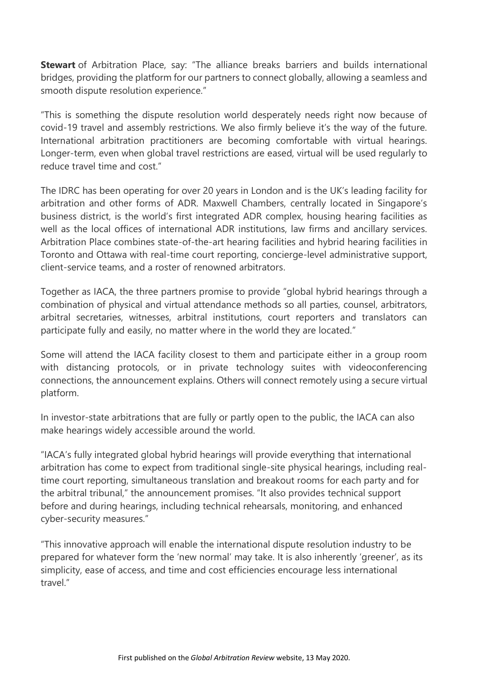**Stewart** of Arbitration Place, say: "The alliance breaks barriers and builds international bridges, providing the platform for our partners to connect globally, allowing a seamless and smooth dispute resolution experience."

"This is something the dispute resolution world desperately needs right now because of covid-19 travel and assembly restrictions. We also firmly believe it's the way of the future. International arbitration practitioners are becoming comfortable with virtual hearings. Longer-term, even when global travel restrictions are eased, virtual will be used regularly to reduce travel time and cost"

The IDRC has been operating for over 20 years in London and is the UK's leading facility for arbitration and other forms of ADR. Maxwell Chambers, centrally located in Singapore's business district, is the world's first integrated ADR complex, housing hearing facilities as well as the local offices of international ADR institutions, law firms and ancillary services. Arbitration Place combines state-of-the-art hearing facilities and hybrid hearing facilities in Toronto and Ottawa with real-time court reporting, concierge-level administrative support, client-service teams, and a roster of renowned arbitrators.

Together as IACA, the three partners promise to provide "global hybrid hearings through a combination of physical and virtual attendance methods so all parties, counsel, arbitrators, arbitral secretaries, witnesses, arbitral institutions, court reporters and translators can participate fully and easily, no matter where in the world they are located."

Some will attend the IACA facility closest to them and participate either in a group room with distancing protocols, or in private technology suites with videoconferencing connections, the announcement explains. Others will connect remotely using a secure virtual platform.

In investor-state arbitrations that are fully or partly open to the public, the IACA can also make hearings widely accessible around the world.

"IACA's fully integrated global hybrid hearings will provide everything that international arbitration has come to expect from traditional single-site physical hearings, including realtime court reporting, simultaneous translation and breakout rooms for each party and for the arbitral tribunal," the announcement promises. "It also provides technical support before and during hearings, including technical rehearsals, monitoring, and enhanced cyber-security measures."

"This innovative approach will enable the international dispute resolution industry to be prepared for whatever form the 'new normal' may take. It is also inherently 'greener', as its simplicity, ease of access, and time and cost efficiencies encourage less international travel"